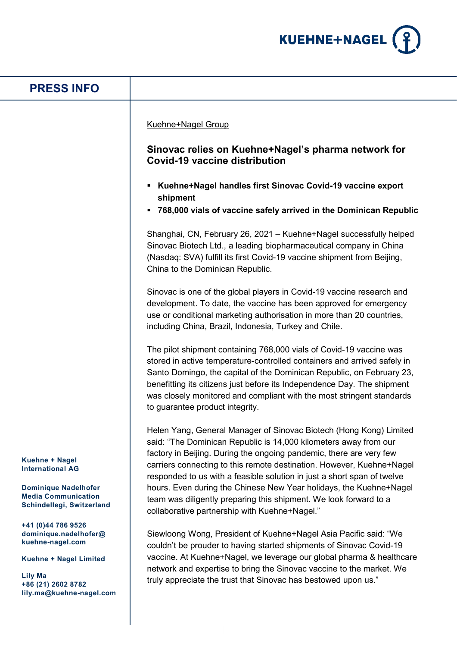

| <b>PRESS INFO</b>                                                                                                                                      |                                                                                                                                                                                                                                                                                                                                                                                                                                                                                                                                                               |
|--------------------------------------------------------------------------------------------------------------------------------------------------------|---------------------------------------------------------------------------------------------------------------------------------------------------------------------------------------------------------------------------------------------------------------------------------------------------------------------------------------------------------------------------------------------------------------------------------------------------------------------------------------------------------------------------------------------------------------|
|                                                                                                                                                        | Kuehne+Nagel Group<br>Sinovac relies on Kuehne+Nagel's pharma network for<br><b>Covid-19 vaccine distribution</b><br>• Kuehne+Nagel handles first Sinovac Covid-19 vaccine export<br>shipment<br>768,000 vials of vaccine safely arrived in the Dominican Republic                                                                                                                                                                                                                                                                                            |
|                                                                                                                                                        | Shanghai, CN, February 26, 2021 - Kuehne+Nagel successfully helped<br>Sinovac Biotech Ltd., a leading biopharmaceutical company in China<br>(Nasdaq: SVA) fulfill its first Covid-19 vaccine shipment from Beijing,<br>China to the Dominican Republic.                                                                                                                                                                                                                                                                                                       |
|                                                                                                                                                        | Sinovac is one of the global players in Covid-19 vaccine research and<br>development. To date, the vaccine has been approved for emergency<br>use or conditional marketing authorisation in more than 20 countries,<br>including China, Brazil, Indonesia, Turkey and Chile.                                                                                                                                                                                                                                                                                  |
|                                                                                                                                                        | The pilot shipment containing 768,000 vials of Covid-19 vaccine was<br>stored in active temperature-controlled containers and arrived safely in<br>Santo Domingo, the capital of the Dominican Republic, on February 23,<br>benefitting its citizens just before its Independence Day. The shipment<br>was closely monitored and compliant with the most stringent standards<br>to guarantee product integrity.                                                                                                                                               |
| Kuehne + Nagel<br><b>International AG</b><br><b>Dominique Nadelhofer</b><br><b>Media Communication</b><br>Schindellegi, Switzerland                    | Helen Yang, General Manager of Sinovac Biotech (Hong Kong) Limited<br>said: "The Dominican Republic is 14,000 kilometers away from our<br>factory in Beijing. During the ongoing pandemic, there are very few<br>carriers connecting to this remote destination. However, Kuehne+Nagel<br>responded to us with a feasible solution in just a short span of twelve<br>hours. Even during the Chinese New Year holidays, the Kuehne+Nagel<br>team was diligently preparing this shipment. We look forward to a<br>collaborative partnership with Kuehne+Nagel." |
| +41 (0)44 786 9526<br>dominique.nadelhofer@<br>kuehne-nagel.com<br>Kuehne + Nagel Limited<br>Lily Ma<br>+86 (21) 2602 8782<br>lily.ma@kuehne-nagel.com | Siewloong Wong, President of Kuehne+Nagel Asia Pacific said: "We<br>couldn't be prouder to having started shipments of Sinovac Covid-19<br>vaccine. At Kuehne+Nagel, we leverage our global pharma & healthcare<br>network and expertise to bring the Sinovac vaccine to the market. We<br>truly appreciate the trust that Sinovac has bestowed upon us."                                                                                                                                                                                                     |